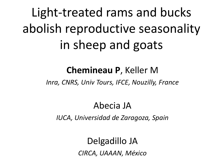Light-treated rams and bucks abolish reproductive seasonality in sheep and goats

#### **Chemineau P**, Keller M

*Inra, CNRS, Univ Tours, IFCE, Nouzilly, France*

#### Abecia JA

*IUCA, Universidad de Zaragoza, Spain*

#### Delgadillo JA

*CIRCA, UAAAN, México*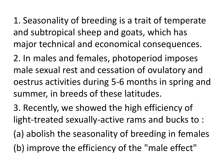1. Seasonality of breeding is a trait of temperate and subtropical sheep and goats, which has major technical and economical consequences.

2. In males and females, photoperiod imposes male sexual rest and cessation of ovulatory and oestrus activities during 5-6 months in spring and summer, in breeds of these latitudes.

3. Recently, we showed the high efficiency of light-treated sexually-active rams and bucks to :

(a) abolish the seasonality of breeding in females (b) improve the efficiency of the "male effect"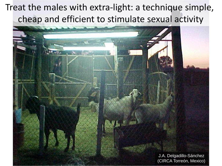## Treat the males with extra-light: a technique simple, cheap and efficient to stimulate sexual activity

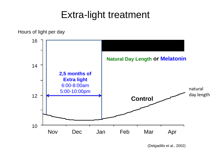## Extra-light treatment



(Delgadillo et al., 2002)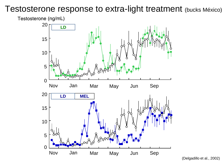#### Testosterone response to extra-light treatment (bucks México)

Testosterone (ng/mL)



(Delgadillo et al., 2002)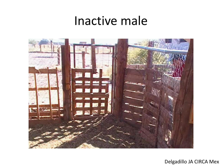# Inactive male



Delgadillo JA CIRCA Mex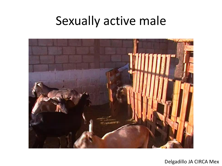# Sexually active male



Delgadillo JA CIRCA Mex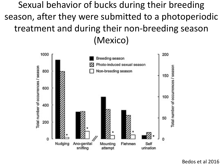Sexual behavior of bucks during their breeding season, after they were submitted to a photoperiodic treatment and during their non-breeding season (Mexico)

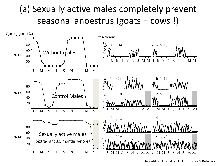#### (a) Sexually active males completely prevent seasonal anoestrus (goats = cows !)



Delgadillo J.A. et al. 2015 Hormones & Behavior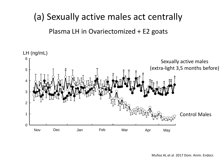#### (a) Sexually active males act centrally

Plasma LH in Ovariectomized + E2 goats

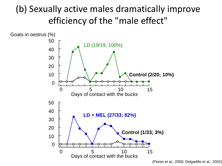### (b) Sexually active males dramatically improve efficiency of the "male effect"



<sup>(</sup>Flores et al., 2000; Delgadillo et al., 2002)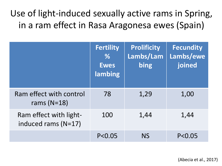## Use of light-induced sexually active rams in Spring, in a ram effect in Rasa Aragonesa ewes (Spain)

|                                               | <b>Fertility</b><br>$\frac{9}{6}$<br><b>Ewes</b><br>lambing | <b>Prolificity</b><br>Lambs/Lam<br>bing | <b>Fecundity</b><br>Lambs/ewe<br>joined |
|-----------------------------------------------|-------------------------------------------------------------|-----------------------------------------|-----------------------------------------|
| Ram effect with control<br>rams $(N=18)$      | 78                                                          | 1,29                                    | 1,00                                    |
| Ram effect with light-<br>induced rams (N=17) | 100                                                         | 1,44                                    | 1,44                                    |
|                                               | P < 0.05                                                    | <b>NS</b>                               | P < 0.05                                |

(Abecia et al., 2017)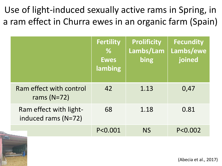Use of light-induced sexually active rams in Spring, in a ram effect in Churra ewes in an organic farm (Spain)

|                                               | <b>Fertility</b><br>$\%$<br><b>Ewes</b><br>lambing | <b>Prolificity</b><br>Lambs/Lam<br>bing | <b>Fecundity</b><br>Lambs/ewe<br>joined |
|-----------------------------------------------|----------------------------------------------------|-----------------------------------------|-----------------------------------------|
| Ram effect with control<br>rams $(N=72)$      | 42                                                 | 1.13                                    | 0,47                                    |
| Ram effect with light-<br>induced rams (N=72) | 68                                                 | 1.18                                    | 0.81                                    |
|                                               | P<0.001                                            | <b>NS</b>                               | P<0.002                                 |

(Abecia et al., 2017)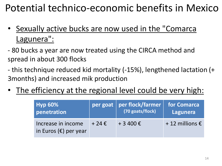## Potential technico-economic benefits in Mexico

- Sexually active bucks are now used in the "Comarca Lagunera":
- 80 bucks a year are now treated using the CIRCA method and spread in about 300 flocks
- this technique reduced kid mortality (-15%), lengthened lactation (+ 3months) and increased mik production
- The efficiency at the regional level could be very high:

| <b>Hyp 60%</b>                                       |                | per goat   per flock/farmer | for Comarca               |
|------------------------------------------------------|----------------|-----------------------------|---------------------------|
| penetration                                          |                | (70 goats/flock)            | Lagunera                  |
| Increase in income<br>in Euros $(\epsilon)$ per year | $+24 \epsilon$ | + 3 400 €                   | $+12$ millions $\epsilon$ |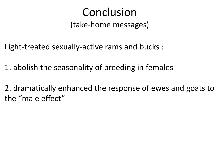# Conclusion

(take-home messages)

Light-treated sexually-active rams and bucks :

1. abolish the seasonality of breeding in females

2. dramatically enhanced the response of ewes and goats to the "male effect"